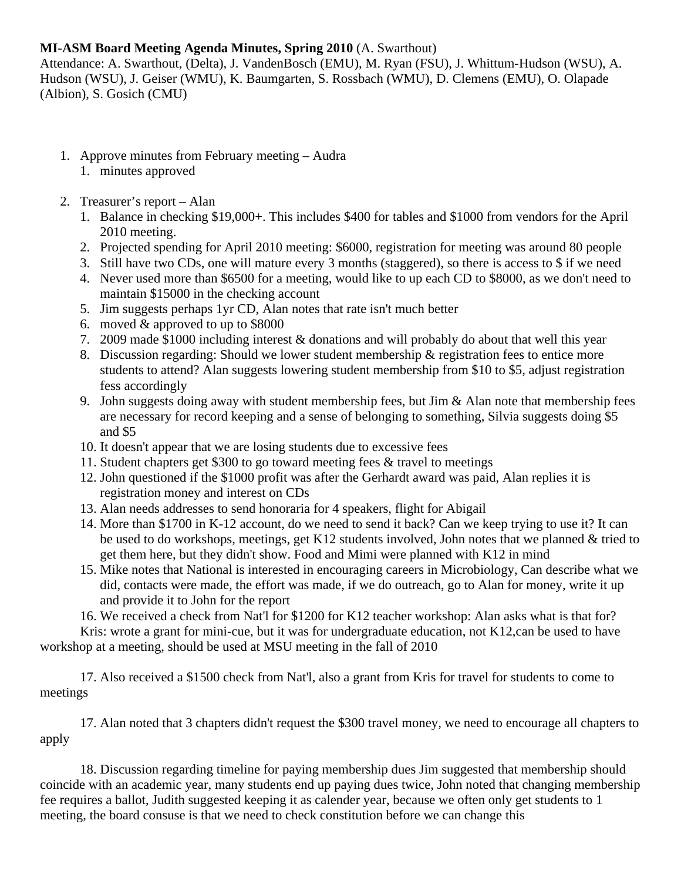## **MI-ASM Board Meeting Agenda Minutes, Spring 2010** (A. Swarthout)

Attendance: A. Swarthout, (Delta), J. VandenBosch (EMU), M. Ryan (FSU), J. Whittum-Hudson (WSU), A. Hudson (WSU), J. Geiser (WMU), K. Baumgarten, S. Rossbach (WMU), D. Clemens (EMU), O. Olapade (Albion), S. Gosich (CMU)

- 1. Approve minutes from February meeting Audra
	- 1. minutes approved
- 2. Treasurer's report Alan
	- 1. Balance in checking \$19,000+. This includes \$400 for tables and \$1000 from vendors for the April 2010 meeting.
	- 2. Projected spending for April 2010 meeting: \$6000, registration for meeting was around 80 people
	- 3. Still have two CDs, one will mature every 3 months (staggered), so there is access to \$ if we need
	- 4. Never used more than \$6500 for a meeting, would like to up each CD to \$8000, as we don't need to maintain \$15000 in the checking account
	- 5. Jim suggests perhaps 1yr CD, Alan notes that rate isn't much better
	- 6. moved & approved to up to \$8000
	- 7. 2009 made \$1000 including interest & donations and will probably do about that well this year
	- 8. Discussion regarding: Should we lower student membership & registration fees to entice more students to attend? Alan suggests lowering student membership from \$10 to \$5, adjust registration fess accordingly
	- 9. John suggests doing away with student membership fees, but Jim & Alan note that membership fees are necessary for record keeping and a sense of belonging to something, Silvia suggests doing \$5 and \$5
	- 10. It doesn't appear that we are losing students due to excessive fees
	- 11. Student chapters get \$300 to go toward meeting fees & travel to meetings
	- 12. John questioned if the \$1000 profit was after the Gerhardt award was paid, Alan replies it is registration money and interest on CDs
	- 13. Alan needs addresses to send honoraria for 4 speakers, flight for Abigail
	- 14. More than \$1700 in K-12 account, do we need to send it back? Can we keep trying to use it? It can be used to do workshops, meetings, get K12 students involved, John notes that we planned & tried to get them here, but they didn't show. Food and Mimi were planned with K12 in mind
	- 15. Mike notes that National is interested in encouraging careers in Microbiology, Can describe what we did, contacts were made, the effort was made, if we do outreach, go to Alan for money, write it up and provide it to John for the report
	- 16. We received a check from Nat'l for \$1200 for K12 teacher workshop: Alan asks what is that for?

 Kris: wrote a grant for mini-cue, but it was for undergraduate education, not K12,can be used to have workshop at a meeting, should be used at MSU meeting in the fall of 2010

 17. Also received a \$1500 check from Nat'l, also a grant from Kris for travel for students to come to meetings

 17. Alan noted that 3 chapters didn't request the \$300 travel money, we need to encourage all chapters to apply

18. Discussion regarding timeline for paying membership dues Jim suggested that membership should coincide with an academic year, many students end up paying dues twice, John noted that changing membership fee requires a ballot, Judith suggested keeping it as calender year, because we often only get students to 1 meeting, the board consuse is that we need to check constitution before we can change this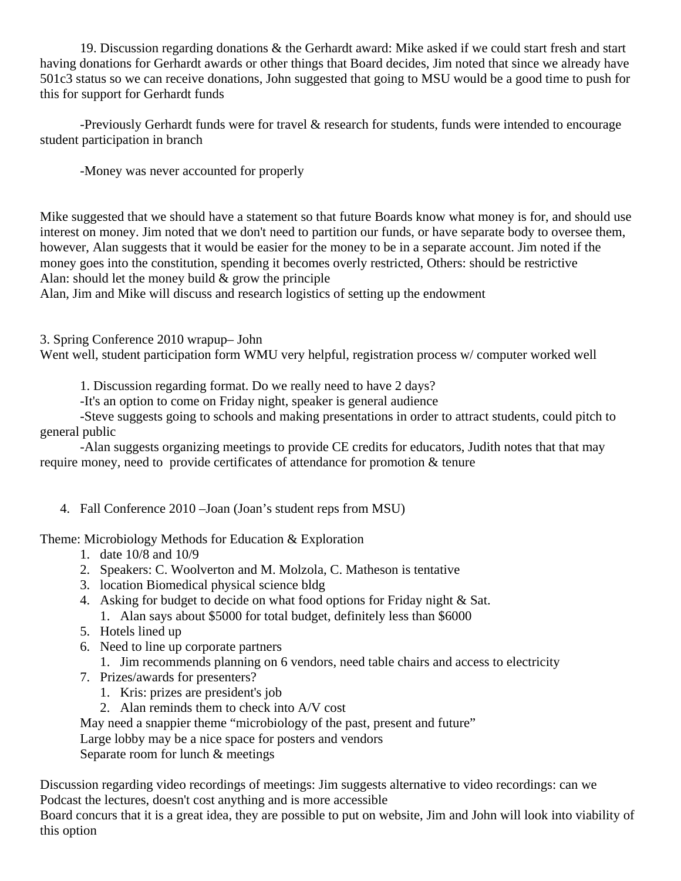19. Discussion regarding donations & the Gerhardt award: Mike asked if we could start fresh and start having donations for Gerhardt awards or other things that Board decides, Jim noted that since we already have 501c3 status so we can receive donations, John suggested that going to MSU would be a good time to push for this for support for Gerhardt funds

-Previously Gerhardt funds were for travel & research for students, funds were intended to encourage student participation in branch

-Money was never accounted for properly

Mike suggested that we should have a statement so that future Boards know what money is for, and should use interest on money. Jim noted that we don't need to partition our funds, or have separate body to oversee them, however, Alan suggests that it would be easier for the money to be in a separate account. Jim noted if the money goes into the constitution, spending it becomes overly restricted, Others: should be restrictive Alan: should let the money build  $&$  grow the principle

Alan, Jim and Mike will discuss and research logistics of setting up the endowment

3. Spring Conference 2010 wrapup– John

Went well, student participation form WMU very helpful, registration process w/computer worked well

1. Discussion regarding format. Do we really need to have 2 days?

-It's an option to come on Friday night, speaker is general audience

-Steve suggests going to schools and making presentations in order to attract students, could pitch to general public

-Alan suggests organizing meetings to provide CE credits for educators, Judith notes that that may require money, need to provide certificates of attendance for promotion & tenure

4. Fall Conference 2010 –Joan (Joan's student reps from MSU)

Theme: Microbiology Methods for Education & Exploration

- 1. date 10/8 and 10/9
- 2. Speakers: C. Woolverton and M. Molzola, C. Matheson is tentative
- 3. location Biomedical physical science bldg
- 4. Asking for budget to decide on what food options for Friday night & Sat.
	- 1. Alan says about \$5000 for total budget, definitely less than \$6000
- 5. Hotels lined up
- 6. Need to line up corporate partners
	- 1. Jim recommends planning on 6 vendors, need table chairs and access to electricity
- 7. Prizes/awards for presenters?
	- 1. Kris: prizes are president's job
	- 2. Alan reminds them to check into A/V cost

May need a snappier theme "microbiology of the past, present and future"

Large lobby may be a nice space for posters and vendors

Separate room for lunch & meetings

Discussion regarding video recordings of meetings: Jim suggests alternative to video recordings: can we Podcast the lectures, doesn't cost anything and is more accessible

Board concurs that it is a great idea, they are possible to put on website, Jim and John will look into viability of this option